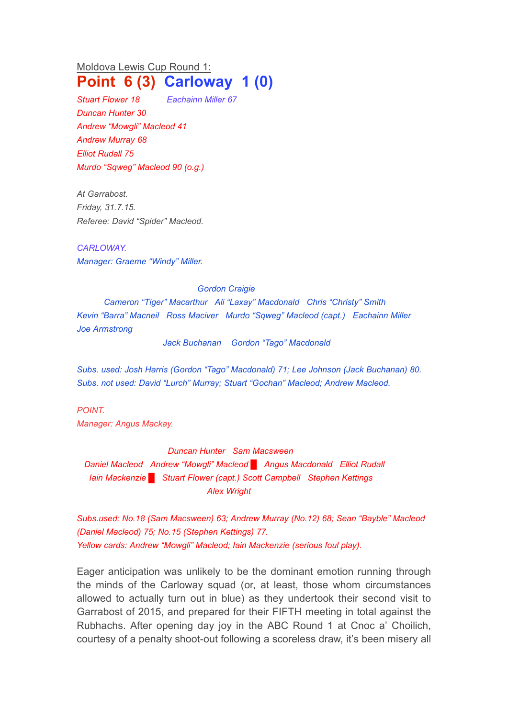Moldova Lewis Cup Round 1: **Point 6 (3) Carloway 1 (0)**

*Stuart Flower 18 Eachainn Miller 67 Duncan Hunter 30 Andrew "Mowgli" Macleod 41 Andrew Murray 68 Elliot Rudall 75 Murdo "Sqweg" Macleod 90 (o.g.)*

*At Garrabost. Friday, 31.7.15. Referee: David "Spider" Macleod.* 

*CARLOWAY. Manager: Graeme "Windy" Miller.*

## *Gordon Craigie*

*Cameron "Tiger" Macarthur Ali "Laxay" Macdonald Chris "Christy" Smith Kevin "Barra" Macneil Ross Maciver Murdo "Sqweg" Macleod (capt.) Eachainn Miller Joe Armstrong*

*Jack Buchanan Gordon "Tago" Macdonald*

*Subs. used: Josh Harris (Gordon "Tago" Macdonald) 71; Lee Johnson (Jack Buchanan) 80. Subs. not used: David "Lurch" Murray; Stuart "Gochan" Macleod; Andrew Macleod.*

*POINT. Manager: Angus Mackay.*

*Duncan Hunter Sam Macsween*

*Daniel Macleod Andrew "Mowgli" Macleod █ Angus Macdonald Elliot Rudall Iain Mackenzie █ Stuart Flower (capt.) Scott Campbell Stephen Kettings Alex Wright*

*Subs.used: No.18 (Sam Macsween) 63; Andrew Murray (No.12) 68; Sean "Bayble" Macleod (Daniel Macleod) 75; No.15 (Stephen Kettings) 77. Yellow cards: Andrew "Mowgli" Macleod; Iain Mackenzie (serious foul play).*

Eager anticipation was unlikely to be the dominant emotion running through the minds of the Carloway squad (or, at least, those whom circumstances allowed to actually turn out in blue) as they undertook their second visit to Garrabost of 2015, and prepared for their FIFTH meeting in total against the Rubhachs. After opening day joy in the ABC Round 1 at Cnoc a' Choilich, courtesy of a penalty shoot-out following a scoreless draw, it's been misery all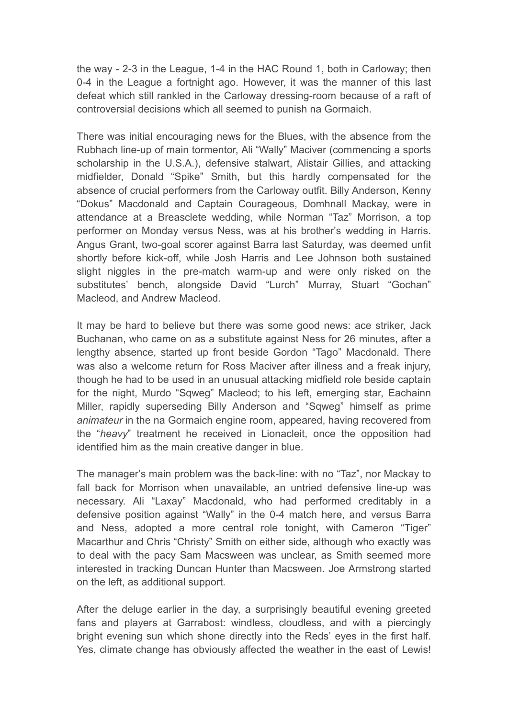the way - 2-3 in the League, 1-4 in the HAC Round 1, both in Carloway; then 0-4 in the League a fortnight ago. However, it was the manner of this last defeat which still rankled in the Carloway dressing-room because of a raft of controversial decisions which all seemed to punish na Gormaich.

There was initial encouraging news for the Blues, with the absence from the Rubhach line-up of main tormentor, Ali "Wally" Maciver (commencing a sports scholarship in the U.S.A.), defensive stalwart, Alistair Gillies, and attacking midfielder, Donald "Spike" Smith, but this hardly compensated for the absence of crucial performers from the Carloway outfit. Billy Anderson, Kenny "Dokus" Macdonald and Captain Courageous, Domhnall Mackay, were in attendance at a Breasclete wedding, while Norman "Taz" Morrison, a top performer on Monday versus Ness, was at his brother's wedding in Harris. Angus Grant, two-goal scorer against Barra last Saturday, was deemed unfit shortly before kick-off, while Josh Harris and Lee Johnson both sustained slight niggles in the pre-match warm-up and were only risked on the substitutes' bench, alongside David "Lurch" Murray, Stuart "Gochan" Macleod, and Andrew Macleod.

It may be hard to believe but there was some good news: ace striker, Jack Buchanan, who came on as a substitute against Ness for 26 minutes, after a lengthy absence, started up front beside Gordon "Tago" Macdonald. There was also a welcome return for Ross Maciver after illness and a freak injury, though he had to be used in an unusual attacking midfield role beside captain for the night, Murdo "Sqweg" Macleod; to his left, emerging star, Eachainn Miller, rapidly superseding Billy Anderson and "Sqweg" himself as prime *animateur* in the na Gormaich engine room, appeared, having recovered from the "*heavy*" treatment he received in Lionacleit, once the opposition had identified him as the main creative danger in blue.

The manager's main problem was the back-line: with no "Taz", nor Mackay to fall back for Morrison when unavailable, an untried defensive line-up was necessary. Ali "Laxay" Macdonald, who had performed creditably in a defensive position against "Wally" in the 0-4 match here, and versus Barra and Ness, adopted a more central role tonight, with Cameron "Tiger" Macarthur and Chris "Christy" Smith on either side, although who exactly was to deal with the pacy Sam Macsween was unclear, as Smith seemed more interested in tracking Duncan Hunter than Macsween. Joe Armstrong started on the left, as additional support.

After the deluge earlier in the day, a surprisingly beautiful evening greeted fans and players at Garrabost: windless, cloudless, and with a piercingly bright evening sun which shone directly into the Reds' eyes in the first half. Yes, climate change has obviously affected the weather in the east of Lewis!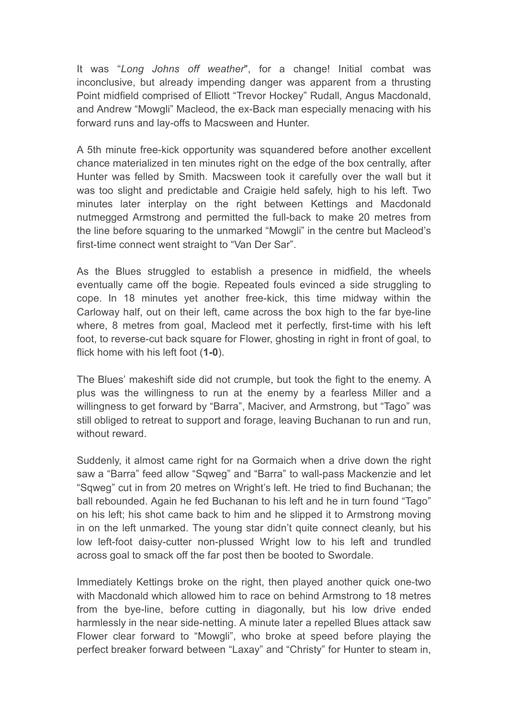It was "*Long Johns off weather*", for a change! Initial combat was inconclusive, but already impending danger was apparent from a thrusting Point midfield comprised of Elliott "Trevor Hockey" Rudall, Angus Macdonald, and Andrew "Mowgli" Macleod, the ex-Back man especially menacing with his forward runs and lay-offs to Macsween and Hunter.

A 5th minute free-kick opportunity was squandered before another excellent chance materialized in ten minutes right on the edge of the box centrally, after Hunter was felled by Smith. Macsween took it carefully over the wall but it was too slight and predictable and Craigie held safely, high to his left. Two minutes later interplay on the right between Kettings and Macdonald nutmegged Armstrong and permitted the full-back to make 20 metres from the line before squaring to the unmarked "Mowgli" in the centre but Macleod's first-time connect went straight to "Van Der Sar".

As the Blues struggled to establish a presence in midfield, the wheels eventually came off the bogie. Repeated fouls evinced a side struggling to cope. In 18 minutes yet another free-kick, this time midway within the Carloway half, out on their left, came across the box high to the far bye-line where, 8 metres from goal, Macleod met it perfectly, first-time with his left foot, to reverse-cut back square for Flower, ghosting in right in front of goal, to flick home with his left foot (**1-0**).

The Blues' makeshift side did not crumple, but took the fight to the enemy. A plus was the willingness to run at the enemy by a fearless Miller and a willingness to get forward by "Barra", Maciver, and Armstrong, but "Tago" was still obliged to retreat to support and forage, leaving Buchanan to run and run, without reward.

Suddenly, it almost came right for na Gormaich when a drive down the right saw a "Barra" feed allow "Sqweg" and "Barra" to wall-pass Mackenzie and let "Sqweg" cut in from 20 metres on Wright's left. He tried to find Buchanan; the ball rebounded. Again he fed Buchanan to his left and he in turn found "Tago" on his left; his shot came back to him and he slipped it to Armstrong moving in on the left unmarked. The young star didn't quite connect cleanly, but his low left-foot daisy-cutter non-plussed Wright low to his left and trundled across goal to smack off the far post then be booted to Swordale.

Immediately Kettings broke on the right, then played another quick one-two with Macdonald which allowed him to race on behind Armstrong to 18 metres from the bye-line, before cutting in diagonally, but his low drive ended harmlessly in the near side-netting. A minute later a repelled Blues attack saw Flower clear forward to "Mowgli", who broke at speed before playing the perfect breaker forward between "Laxay" and "Christy" for Hunter to steam in,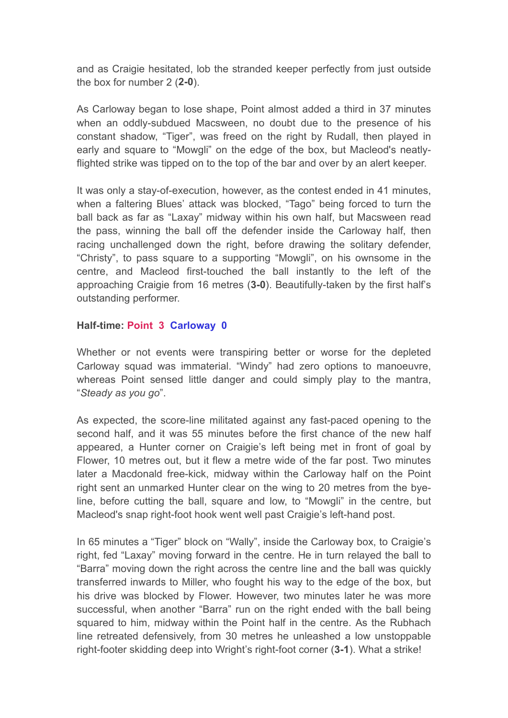and as Craigie hesitated, lob the stranded keeper perfectly from just outside the box for number 2 (**2-0**).

As Carloway began to lose shape, Point almost added a third in 37 minutes when an oddly-subdued Macsween, no doubt due to the presence of his constant shadow, "Tiger", was freed on the right by Rudall, then played in early and square to "Mowgli" on the edge of the box, but Macleod's neatlyflighted strike was tipped on to the top of the bar and over by an alert keeper.

It was only a stay-of-execution, however, as the contest ended in 41 minutes, when a faltering Blues' attack was blocked, "Tago" being forced to turn the ball back as far as "Laxay" midway within his own half, but Macsween read the pass, winning the ball off the defender inside the Carloway half, then racing unchallenged down the right, before drawing the solitary defender, "Christy", to pass square to a supporting "Mowgli", on his ownsome in the centre, and Macleod first-touched the ball instantly to the left of the approaching Craigie from 16 metres (**3-0**). Beautifully-taken by the first half's outstanding performer.

## **Half-time: Point 3 Carloway 0**

Whether or not events were transpiring better or worse for the depleted Carloway squad was immaterial. "Windy" had zero options to manoeuvre, whereas Point sensed little danger and could simply play to the mantra, "*Steady as you go*".

As expected, the score-line militated against any fast-paced opening to the second half, and it was 55 minutes before the first chance of the new half appeared, a Hunter corner on Craigie's left being met in front of goal by Flower, 10 metres out, but it flew a metre wide of the far post. Two minutes later a Macdonald free-kick, midway within the Carloway half on the Point right sent an unmarked Hunter clear on the wing to 20 metres from the byeline, before cutting the ball, square and low, to "Mowgli" in the centre, but Macleod's snap right-foot hook went well past Craigie's left-hand post.

In 65 minutes a "Tiger" block on "Wally", inside the Carloway box, to Craigie's right, fed "Laxay" moving forward in the centre. He in turn relayed the ball to "Barra" moving down the right across the centre line and the ball was quickly transferred inwards to Miller, who fought his way to the edge of the box, but his drive was blocked by Flower. However, two minutes later he was more successful, when another "Barra" run on the right ended with the ball being squared to him, midway within the Point half in the centre. As the Rubhach line retreated defensively, from 30 metres he unleashed a low unstoppable right-footer skidding deep into Wright's right-foot corner (**3-1**). What a strike!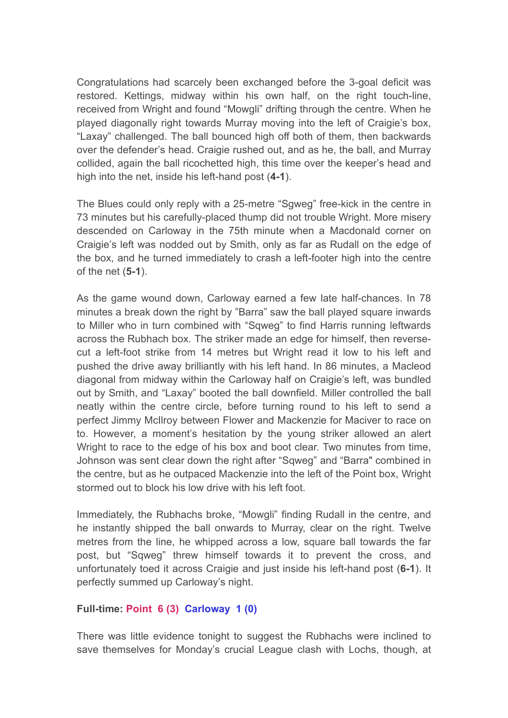Congratulations had scarcely been exchanged before the 3-goal deficit was restored. Kettings, midway within his own half, on the right touch-line, received from Wright and found "Mowgli" drifting through the centre. When he played diagonally right towards Murray moving into the left of Craigie's box, "Laxay" challenged. The ball bounced high off both of them, then backwards over the defender's head. Craigie rushed out, and as he, the ball, and Murray collided, again the ball ricochetted high, this time over the keeper's head and high into the net, inside his left-hand post (**4-1**).

The Blues could only reply with a 25-metre "Sgweg" free-kick in the centre in 73 minutes but his carefully-placed thump did not trouble Wright. More misery descended on Carloway in the 75th minute when a Macdonald corner on Craigie's left was nodded out by Smith, only as far as Rudall on the edge of the box, and he turned immediately to crash a left-footer high into the centre of the net (**5-1**).

As the game wound down, Carloway earned a few late half-chances. In 78 minutes a break down the right by "Barra" saw the ball played square inwards to Miller who in turn combined with "Sqweg" to find Harris running leftwards across the Rubhach box. The striker made an edge for himself, then reversecut a left-foot strike from 14 metres but Wright read it low to his left and pushed the drive away brilliantly with his left hand. In 86 minutes, a Macleod diagonal from midway within the Carloway half on Craigie's left, was bundled out by Smith, and "Laxay" booted the ball downfield. Miller controlled the ball neatly within the centre circle, before turning round to his left to send a perfect Jimmy McIlroy between Flower and Mackenzie for Maciver to race on to. However, a moment's hesitation by the young striker allowed an alert Wright to race to the edge of his box and boot clear. Two minutes from time, Johnson was sent clear down the right after "Sqweg" and "Barra" combined in the centre, but as he outpaced Mackenzie into the left of the Point box, Wright stormed out to block his low drive with his left foot.

Immediately, the Rubhachs broke, "Mowgli" finding Rudall in the centre, and he instantly shipped the ball onwards to Murray, clear on the right. Twelve metres from the line, he whipped across a low, square ball towards the far post, but "Sqweg" threw himself towards it to prevent the cross, and unfortunately toed it across Craigie and just inside his left-hand post (**6-1**). It perfectly summed up Carloway's night.

## **Full-time: Point 6 (3) Carloway 1 (0)**

There was little evidence tonight to suggest the Rubhachs were inclined to save themselves for Monday's crucial League clash with Lochs, though, at